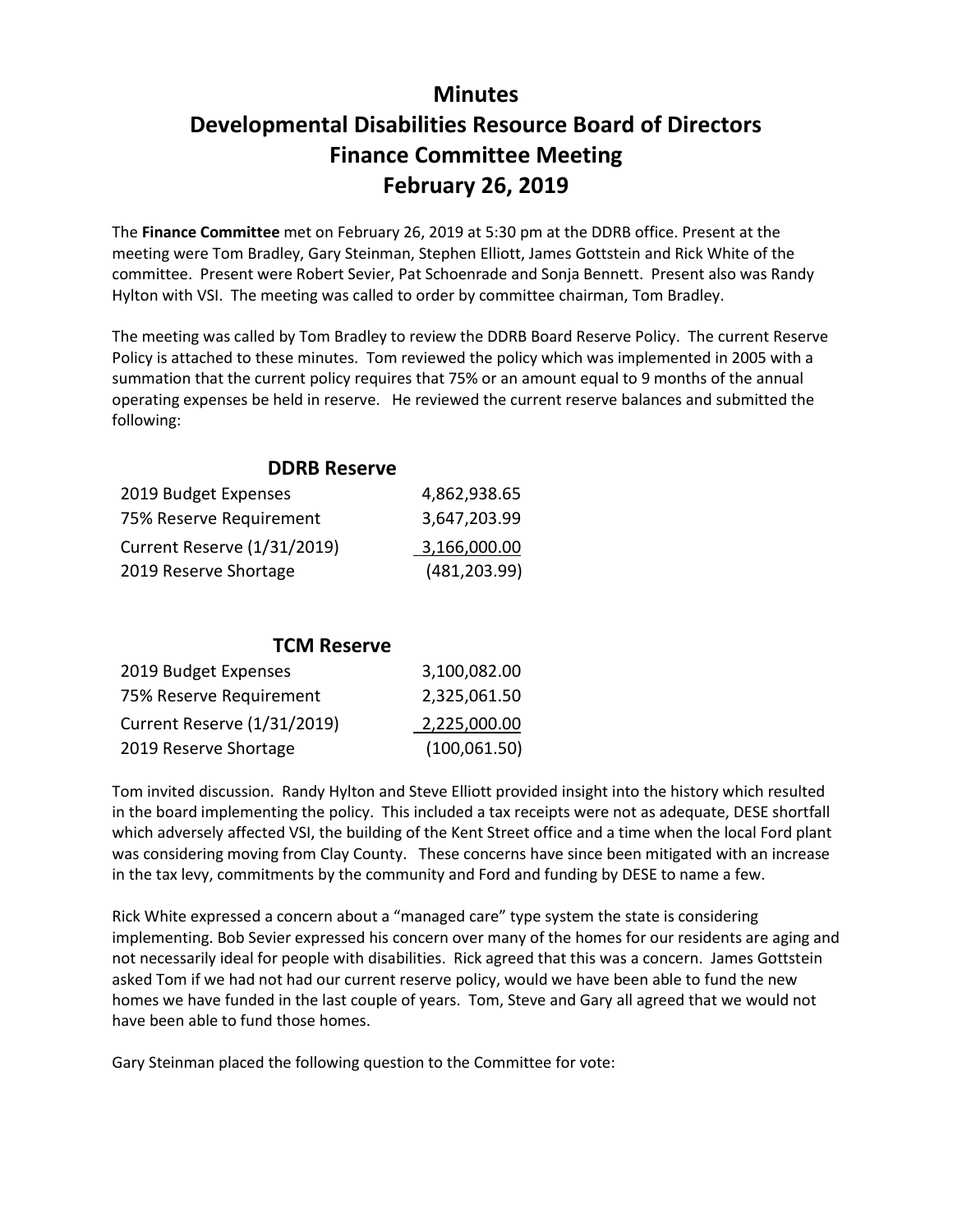## **Minutes Developmental Disabilities Resource Board of Directors Finance Committee Meeting February 26, 2019**

The **Finance Committee** met on February 26, 2019 at 5:30 pm at the DDRB office. Present at the meeting were Tom Bradley, Gary Steinman, Stephen Elliott, James Gottstein and Rick White of the committee. Present were Robert Sevier, Pat Schoenrade and Sonja Bennett. Present also was Randy Hylton with VSI. The meeting was called to order by committee chairman, Tom Bradley.

The meeting was called by Tom Bradley to review the DDRB Board Reserve Policy. The current Reserve Policy is attached to these minutes. Tom reviewed the policy which was implemented in 2005 with a summation that the current policy requires that 75% or an amount equal to 9 months of the annual operating expenses be held in reserve. He reviewed the current reserve balances and submitted the following:

| <b>DDRB Reserve</b>                |               |
|------------------------------------|---------------|
| 2019 Budget Expenses               | 4,862,938.65  |
| 75% Reserve Requirement            | 3,647,203.99  |
| <b>Current Reserve (1/31/2019)</b> | 3,166,000.00  |
| 2019 Reserve Shortage              | (481, 203.99) |

**DDRB Reserve**

## **TCM Reserve**

| 2019 Budget Expenses               | 3,100,082.00  |
|------------------------------------|---------------|
| 75% Reserve Requirement            | 2,325,061.50  |
| <b>Current Reserve (1/31/2019)</b> | 2,225,000.00  |
| 2019 Reserve Shortage              | (100, 061.50) |

Tom invited discussion. Randy Hylton and Steve Elliott provided insight into the history which resulted in the board implementing the policy. This included a tax receipts were not as adequate, DESE shortfall which adversely affected VSI, the building of the Kent Street office and a time when the local Ford plant was considering moving from Clay County. These concerns have since been mitigated with an increase in the tax levy, commitments by the community and Ford and funding by DESE to name a few.

Rick White expressed a concern about a "managed care" type system the state is considering implementing. Bob Sevier expressed his concern over many of the homes for our residents are aging and not necessarily ideal for people with disabilities. Rick agreed that this was a concern. James Gottstein asked Tom if we had not had our current reserve policy, would we have been able to fund the new homes we have funded in the last couple of years. Tom, Steve and Gary all agreed that we would not have been able to fund those homes.

Gary Steinman placed the following question to the Committee for vote: